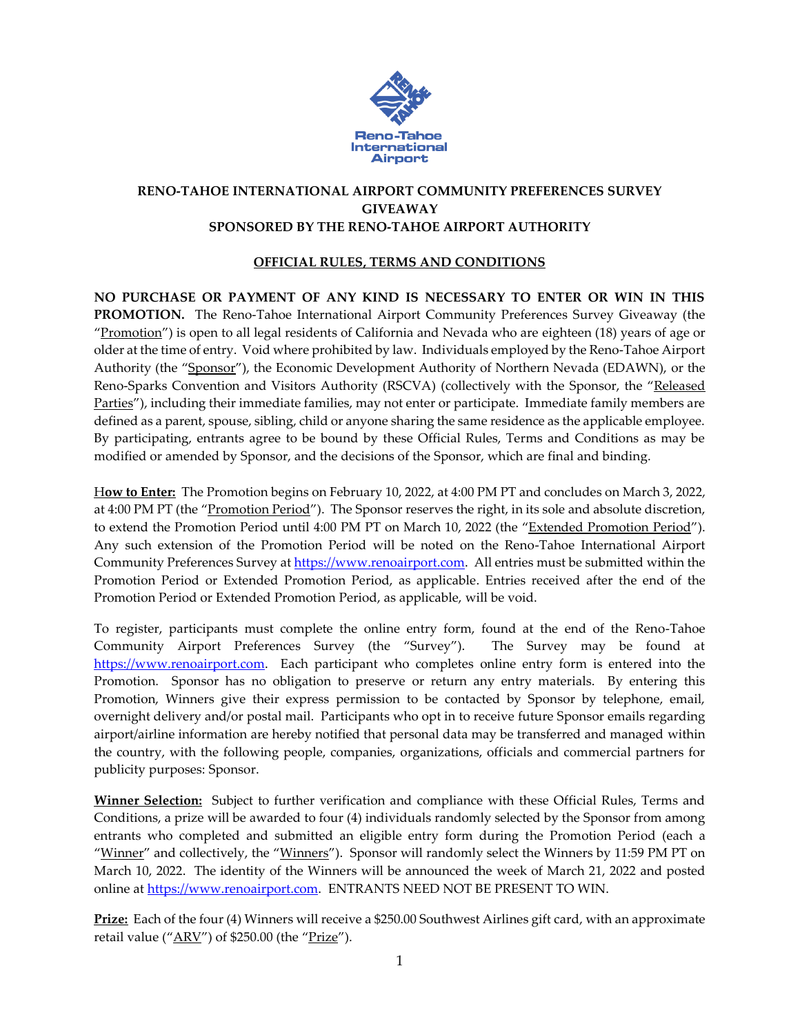

## **RENO-TAHOE INTERNATIONAL AIRPORT COMMUNITY PREFERENCES SURVEY GIVEAWAY SPONSORED BY THE RENO-TAHOE AIRPORT AUTHORITY**

## **OFFICIAL RULES, TERMS AND CONDITIONS**

**NO PURCHASE OR PAYMENT OF ANY KIND IS NECESSARY TO ENTER OR WIN IN THIS PROMOTION.** The Reno-Tahoe International Airport Community Preferences Survey Giveaway (the "Promotion") is open to all legal residents of California and Nevada who are eighteen (18) years of age or older at the time of entry. Void where prohibited by law. Individuals employed by the Reno-Tahoe Airport Authority (the "Sponsor"), the Economic Development Authority of Northern Nevada (EDAWN), or the Reno-Sparks Convention and Visitors Authority (RSCVA) (collectively with the Sponsor, the "Released Parties"), including their immediate families, may not enter or participate. Immediate family members are defined as a parent, spouse, sibling, child or anyone sharing the same residence as the applicable employee. By participating, entrants agree to be bound by these Official Rules, Terms and Conditions as may be modified or amended by Sponsor, and the decisions of the Sponsor, which are final and binding.

H**ow to Enter:** The Promotion begins on February 10, 2022, at 4:00 PM PT and concludes on March 3, 2022, at 4:00 PM PT (the "Promotion Period"). The Sponsor reserves the right, in its sole and absolute discretion, to extend the Promotion Period until 4:00 PM PT on March 10, 2022 (the "Extended Promotion Period"). Any such extension of the Promotion Period will be noted on the Reno-Tahoe International Airport Community Preferences Survey a[t https://www.renoairport.com.](https://www.renoairport.com/) All entries must be submitted within the Promotion Period or Extended Promotion Period, as applicable. Entries received after the end of the Promotion Period or Extended Promotion Period, as applicable, will be void.

To register, participants must complete the online entry form, found at the end of the Reno-Tahoe Community Airport Preferences Survey (the "Survey"). The Survey may be found at [https://www.renoairport.com.](https://www.renoairport.com/) Each participant who completes online entry form is entered into the Promotion. Sponsor has no obligation to preserve or return any entry materials. By entering this Promotion, Winners give their express permission to be contacted by Sponsor by telephone, email, overnight delivery and/or postal mail. Participants who opt in to receive future Sponsor emails regarding airport/airline information are hereby notified that personal data may be transferred and managed within the country, with the following people, companies, organizations, officials and commercial partners for publicity purposes: Sponsor.

**Winner Selection:** Subject to further verification and compliance with these Official Rules, Terms and Conditions, a prize will be awarded to four (4) individuals randomly selected by the Sponsor from among entrants who completed and submitted an eligible entry form during the Promotion Period (each a "Winner" and collectively, the "Winners"). Sponsor will randomly select the Winners by 11:59 PM PT on March 10, 2022. The identity of the Winners will be announced the week of March 21, 2022 and posted online at [https://www.renoairport.com.](https://www.renoairport.com/) ENTRANTS NEED NOT BE PRESENT TO WIN.

**Prize:** Each of the four (4) Winners will receive a \$250.00 Southwest Airlines gift card, with an approximate retail value (" $ARV$ ") of \$250.00 (the " $Prize$ ").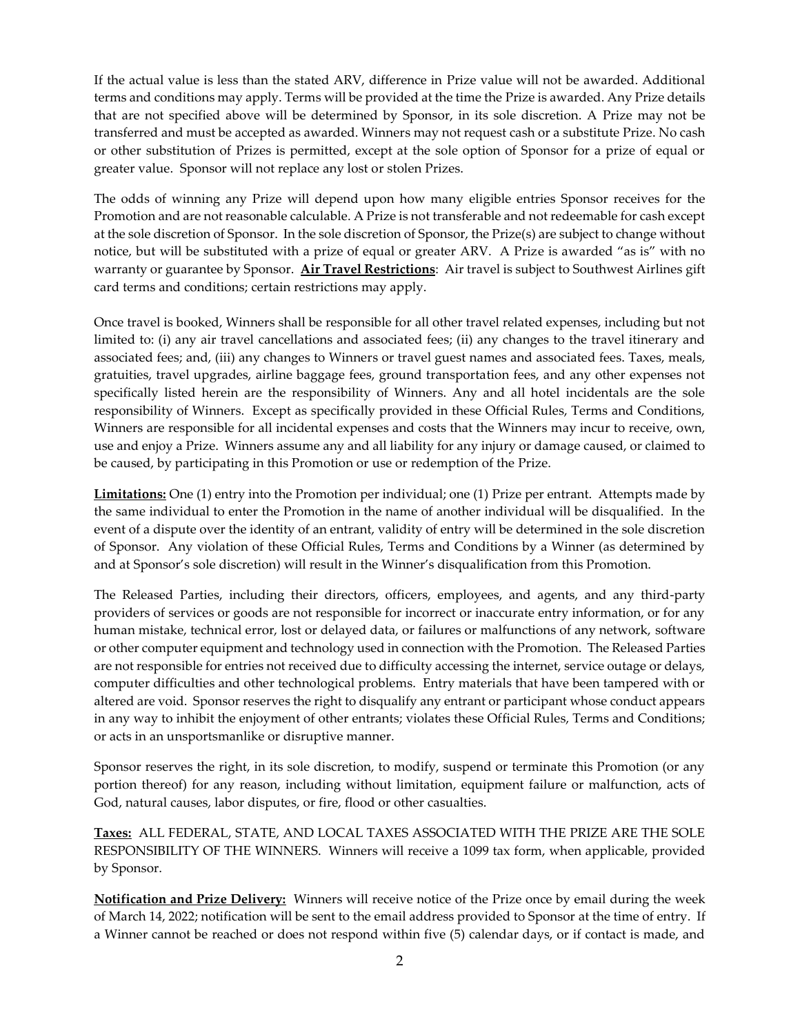If the actual value is less than the stated ARV, difference in Prize value will not be awarded. Additional terms and conditions may apply. Terms will be provided at the time the Prize is awarded. Any Prize details that are not specified above will be determined by Sponsor, in its sole discretion. A Prize may not be transferred and must be accepted as awarded. Winners may not request cash or a substitute Prize. No cash or other substitution of Prizes is permitted, except at the sole option of Sponsor for a prize of equal or greater value. Sponsor will not replace any lost or stolen Prizes.

The odds of winning any Prize will depend upon how many eligible entries Sponsor receives for the Promotion and are not reasonable calculable. A Prize is not transferable and not redeemable for cash except at the sole discretion of Sponsor. In the sole discretion of Sponsor, the Prize(s) are subject to change without notice, but will be substituted with a prize of equal or greater ARV. A Prize is awarded "as is" with no warranty or guarantee by Sponsor. **Air Travel Restrictions**: Air travel is subject to Southwest Airlines gift card terms and conditions; certain restrictions may apply.

Once travel is booked, Winners shall be responsible for all other travel related expenses, including but not limited to: (i) any air travel cancellations and associated fees; (ii) any changes to the travel itinerary and associated fees; and, (iii) any changes to Winners or travel guest names and associated fees. Taxes, meals, gratuities, travel upgrades, airline baggage fees, ground transportation fees, and any other expenses not specifically listed herein are the responsibility of Winners. Any and all hotel incidentals are the sole responsibility of Winners. Except as specifically provided in these Official Rules, Terms and Conditions, Winners are responsible for all incidental expenses and costs that the Winners may incur to receive, own, use and enjoy a Prize. Winners assume any and all liability for any injury or damage caused, or claimed to be caused, by participating in this Promotion or use or redemption of the Prize.

**Limitations:** One (1) entry into the Promotion per individual; one (1) Prize per entrant. Attempts made by the same individual to enter the Promotion in the name of another individual will be disqualified. In the event of a dispute over the identity of an entrant, validity of entry will be determined in the sole discretion of Sponsor. Any violation of these Official Rules, Terms and Conditions by a Winner (as determined by and at Sponsor's sole discretion) will result in the Winner's disqualification from this Promotion.

The Released Parties, including their directors, officers, employees, and agents, and any third-party providers of services or goods are not responsible for incorrect or inaccurate entry information, or for any human mistake, technical error, lost or delayed data, or failures or malfunctions of any network, software or other computer equipment and technology used in connection with the Promotion. The Released Parties are not responsible for entries not received due to difficulty accessing the internet, service outage or delays, computer difficulties and other technological problems. Entry materials that have been tampered with or altered are void. Sponsor reserves the right to disqualify any entrant or participant whose conduct appears in any way to inhibit the enjoyment of other entrants; violates these Official Rules, Terms and Conditions; or acts in an unsportsmanlike or disruptive manner.

Sponsor reserves the right, in its sole discretion, to modify, suspend or terminate this Promotion (or any portion thereof) for any reason, including without limitation, equipment failure or malfunction, acts of God, natural causes, labor disputes, or fire, flood or other casualties.

**Taxes:** ALL FEDERAL, STATE, AND LOCAL TAXES ASSOCIATED WITH THE PRIZE ARE THE SOLE RESPONSIBILITY OF THE WINNERS. Winners will receive a 1099 tax form, when applicable, provided by Sponsor.

**Notification and Prize Delivery:** Winners will receive notice of the Prize once by email during the week of March 14, 2022; notification will be sent to the email address provided to Sponsor at the time of entry. If a Winner cannot be reached or does not respond within five (5) calendar days, or if contact is made, and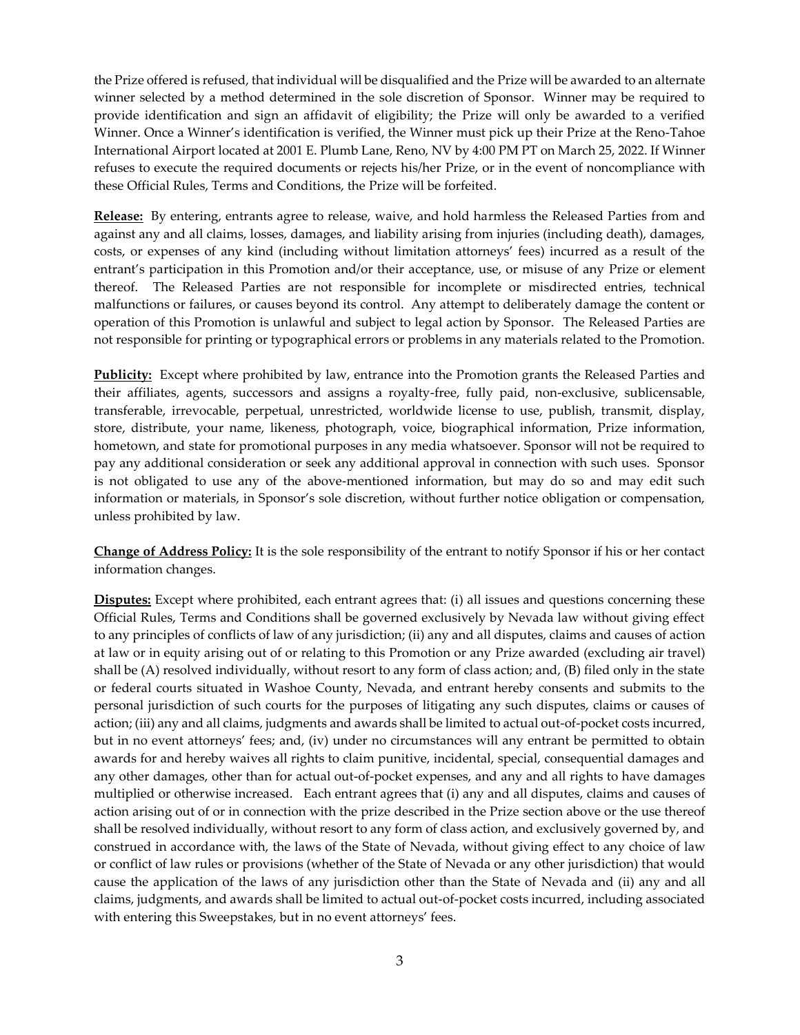the Prize offered is refused, that individual will be disqualified and the Prize will be awarded to an alternate winner selected by a method determined in the sole discretion of Sponsor. Winner may be required to provide identification and sign an affidavit of eligibility; the Prize will only be awarded to a verified Winner. Once a Winner's identification is verified, the Winner must pick up their Prize at the Reno-Tahoe International Airport located at 2001 E. Plumb Lane, Reno, NV by 4:00 PM PT on March 25, 2022. If Winner refuses to execute the required documents or rejects his/her Prize, or in the event of noncompliance with these Official Rules, Terms and Conditions, the Prize will be forfeited.

**Release:** By entering, entrants agree to release, waive, and hold harmless the Released Parties from and against any and all claims, losses, damages, and liability arising from injuries (including death), damages, costs, or expenses of any kind (including without limitation attorneys' fees) incurred as a result of the entrant's participation in this Promotion and/or their acceptance, use, or misuse of any Prize or element thereof. The Released Parties are not responsible for incomplete or misdirected entries, technical malfunctions or failures, or causes beyond its control. Any attempt to deliberately damage the content or operation of this Promotion is unlawful and subject to legal action by Sponsor. The Released Parties are not responsible for printing or typographical errors or problems in any materials related to the Promotion.

**Publicity:** Except where prohibited by law, entrance into the Promotion grants the Released Parties and their affiliates, agents, successors and assigns a royalty-free, fully paid, non-exclusive, sublicensable, transferable, irrevocable, perpetual, unrestricted, worldwide license to use, publish, transmit, display, store, distribute, your name, likeness, photograph, voice, biographical information, Prize information, hometown, and state for promotional purposes in any media whatsoever. Sponsor will not be required to pay any additional consideration or seek any additional approval in connection with such uses. Sponsor is not obligated to use any of the above-mentioned information, but may do so and may edit such information or materials, in Sponsor's sole discretion, without further notice obligation or compensation, unless prohibited by law.

**Change of Address Policy:** It is the sole responsibility of the entrant to notify Sponsor if his or her contact information changes.

**Disputes:** Except where prohibited, each entrant agrees that: (i) all issues and questions concerning these Official Rules, Terms and Conditions shall be governed exclusively by Nevada law without giving effect to any principles of conflicts of law of any jurisdiction; (ii) any and all disputes, claims and causes of action at law or in equity arising out of or relating to this Promotion or any Prize awarded (excluding air travel) shall be (A) resolved individually, without resort to any form of class action; and, (B) filed only in the state or federal courts situated in Washoe County, Nevada, and entrant hereby consents and submits to the personal jurisdiction of such courts for the purposes of litigating any such disputes, claims or causes of action; (iii) any and all claims, judgments and awards shall be limited to actual out-of-pocket costs incurred, but in no event attorneys' fees; and, (iv) under no circumstances will any entrant be permitted to obtain awards for and hereby waives all rights to claim punitive, incidental, special, consequential damages and any other damages, other than for actual out-of-pocket expenses, and any and all rights to have damages multiplied or otherwise increased. Each entrant agrees that (i) any and all disputes, claims and causes of action arising out of or in connection with the prize described in the Prize section above or the use thereof shall be resolved individually, without resort to any form of class action, and exclusively governed by, and construed in accordance with, the laws of the State of Nevada, without giving effect to any choice of law or conflict of law rules or provisions (whether of the State of Nevada or any other jurisdiction) that would cause the application of the laws of any jurisdiction other than the State of Nevada and (ii) any and all claims, judgments, and awards shall be limited to actual out-of-pocket costs incurred, including associated with entering this Sweepstakes, but in no event attorneys' fees.